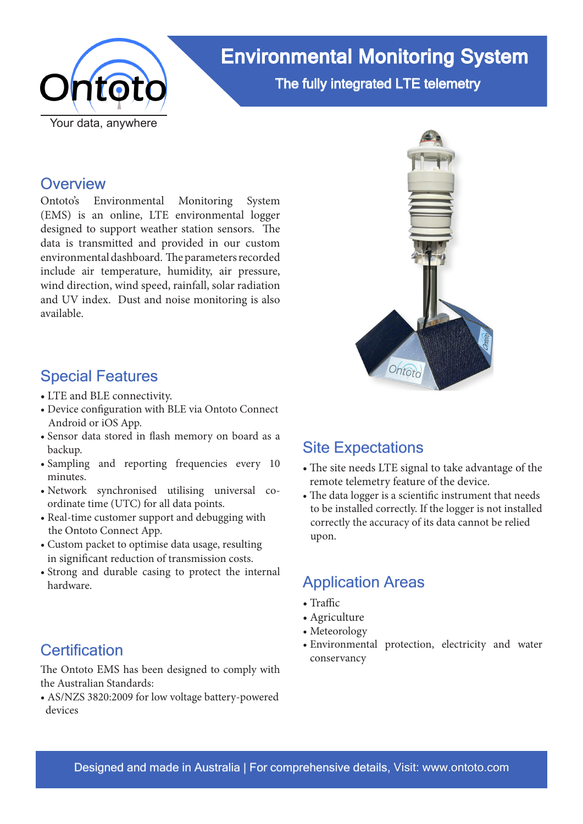

# Environmental Monitoring System The fully integrated LTE telemetry

### **Overview**

Ontoto's Environmental Monitoring System (EMS) is an online, LTE environmental logger designed to support weather station sensors. The data is transmitted and provided in our custom environmental dashboard. The parameters recorded include air temperature, humidity, air pressure, wind direction, wind speed, rainfall, solar radiation and UV index. Dust and noise monitoring is also available.



- LTE and BLE connectivity.
- Device configuration with BLE via Ontoto Connect Android or iOS App.
- Sensor data stored in flash memory on board as a backup.
- Sampling and reporting frequencies every 10 minutes.
- Network synchronised utilising universal coordinate time (UTC) for all data points.
- Real-time customer support and debugging with the Ontoto Connect App.
- Custom packet to optimise data usage, resulting in significant reduction of transmission costs.
- Strong and durable casing to protect the internal hardware. Application Areas

### **Certification**

The Ontoto EMS has been designed to comply with the Australian Standards:

• AS/NZS 3820:2009 for low voltage battery-powered devices



# Site Expectations

- The site needs LTE signal to take advantage of the remote telemetry feature of the device.
- The data logger is a scientific instrument that needs to be installed correctly. If the logger is not installed correctly the accuracy of its data cannot be relied upon.

- Traffic
- Agriculture
- Meteorology
- Environmental protection, electricity and water conservancy

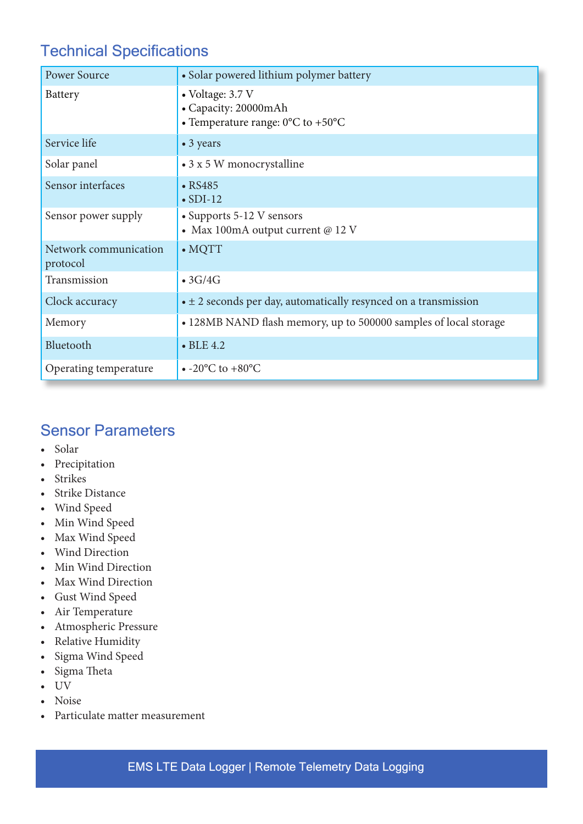# Technical Specifications

| <b>Power Source</b>               | • Solar powered lithium polymer battery                                                            |
|-----------------------------------|----------------------------------------------------------------------------------------------------|
| <b>Battery</b>                    | • Voltage: 3.7 V<br>• Capacity: 20000mAh<br>• Temperature range: $0^{\circ}$ C to +50 $^{\circ}$ C |
| Service life                      | • 3 years                                                                                          |
| Solar panel                       | • 3 x 5 W monocrystalline                                                                          |
| Sensor interfaces                 | $\cdot$ RS485<br>$\bullet$ SDI-12                                                                  |
| Sensor power supply               | • Supports 5-12 V sensors<br>• Max 100mA output current @ 12 V                                     |
| Network communication<br>protocol | $\bullet$ MQTT                                                                                     |
| Transmission                      | $\bullet$ 3G/4G                                                                                    |
| Clock accuracy                    | $\bullet \pm 2$ seconds per day, automatically resynced on a transmission                          |
| Memory                            | • 128MB NAND flash memory, up to 500000 samples of local storage                                   |
| Bluetooth                         | $\bullet$ BLE 4.2                                                                                  |
| Operating temperature             | $\bullet$ -20 $\rm{^{\circ}C}$ to +80 $\rm{^{\circ}C}$                                             |

# Sensor Parameters

- Solar
- Precipitation
- Strikes
- Strike Distance
- Wind Speed
- Min Wind Speed
- Max Wind Speed
- Wind Direction
- Min Wind Direction
- Max Wind Direction
- Gust Wind Speed
- Air Temperature
- Atmospheric Pressure
- Relative Humidity
- Sigma Wind Speed
- Sigma Theta
- UV
- Noise
- Particulate matter measurement